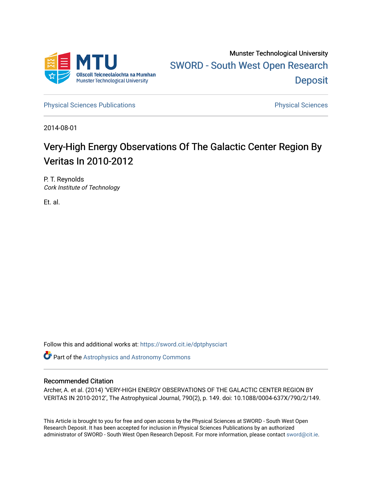

[Physical Sciences Publications](https://sword.cit.ie/dptphysciart) **Physical Sciences** Physical Sciences

2014-08-01

# Very-High Energy Observations Of The Galactic Center Region By Veritas In 2010-2012

P. T. Reynolds Cork Institute of Technology

Et. al.

Follow this and additional works at: [https://sword.cit.ie/dptphysciart](https://sword.cit.ie/dptphysciart?utm_source=sword.cit.ie%2Fdptphysciart%2F83&utm_medium=PDF&utm_campaign=PDFCoverPages)

Part of the [Astrophysics and Astronomy Commons](http://network.bepress.com/hgg/discipline/123?utm_source=sword.cit.ie%2Fdptphysciart%2F83&utm_medium=PDF&utm_campaign=PDFCoverPages) 

# Recommended Citation

Archer, A. et al. (2014) 'VERY-HIGH ENERGY OBSERVATIONS OF THE GALACTIC CENTER REGION BY VERITAS IN 2010-2012', The Astrophysical Journal, 790(2), p. 149. doi: 10.1088/0004-637X/790/2/149.

This Article is brought to you for free and open access by the Physical Sciences at SWORD - South West Open Research Deposit. It has been accepted for inclusion in Physical Sciences Publications by an authorized administrator of SWORD - South West Open Research Deposit. For more information, please contact [sword@cit.ie.](mailto:sword@cit.ie)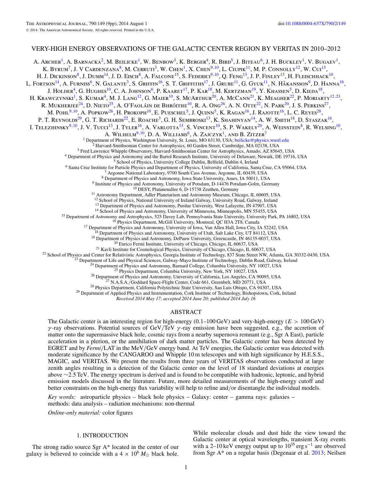# VERY-HIGH ENERGY OBSERVATIONS OF THE GALACTIC CENTER REGION BY VERITAS IN 2010–2012

A. Archer<sup>1</sup>, A. Barnacka<sup>2</sup>, M. Beilicke<sup>1</sup>, W. Benbow<sup>3</sup>, K. Berger<sup>4</sup>, R. Bird<sup>5</sup>, J. Biteau<sup>6</sup>, J. H. Buckley<sup>1</sup>, V. Bugaev<sup>1</sup>, K. BYRUM<sup>7</sup>, J. V CARDENZANA<sup>8</sup>, M. CERRUTI<sup>3</sup>, W. CHEN<sup>1</sup>, X. CHEN<sup>9,10</sup>, L. CIUPIK<sup>11</sup>, M. P. CONNOLLY<sup>12</sup>, W. CUI<sup>13</sup>, H. J. Dickinson<sup>8</sup>, J. Dumm<sup>14</sup>, J. D. Eisch<sup>8</sup>, A. Falcone<sup>15</sup>, S. Federici<sup>9,10</sup>, Q. Feng<sup>13</sup>, J. P. Finley<sup>13</sup>, H. Fleischhack<sup>10</sup>, L. FORTSON<sup>14</sup>, A. FURNISS<sup>6</sup>, N. GALANTE<sup>3</sup>, S. GRIFFIN<sup>16</sup>, S. T. GRIFFITHS<sup>17</sup>, J. GRUBE<sup>11</sup>, G. GYUK<sup>11</sup>, N. HÅKANSSON<sup>9</sup>, D. HANNA<sup>16</sup>, J. HOLDER<sup>4</sup>, G. HUGHES<sup>10</sup>, C. A. JOHNSON<sup>6</sup>, P. KAARET<sup>17</sup>, P. KAR<sup>18</sup>, M. KERTZMAN<sup>19</sup>, Y. KHASSEN<sup>5</sup>, D. KIEDA<sup>18</sup>, H. Krawczynski<sup>1</sup>, S. Kumar<sup>4</sup>, M. J. Lang<sup>12</sup>, G. Maier<sup>10</sup>, S. McArthur<sup>20</sup>, A. McCann<sup>21</sup>, K. Meagher<sup>22</sup>, P. Moriarty<sup>12,23</sup>, R. MUKHERJEE<sup>24</sup>, D. NIETO<sup>25</sup>, A. O'FAOLÁIN DE BHRÓITHE<sup>10</sup>, R. A. Ong<sup>26</sup>, A. N. OTTE<sup>22</sup>, N. PARK<sup>20</sup>, J. S. PERKINS<sup>27</sup>, M. Pohl<sup>9</sup>,<sup>10</sup>, A. Popkow<sup>26</sup>, H. Prokoph<sup>10</sup>, E. Pueschel<sup>5</sup>, J. Quinn<sup>5</sup>, K. Ragan<sup>16</sup>, J. Rajotte<sup>16</sup>, L. C. Reyes<sup>28</sup>, P. T. REYNOLDS<sup>29</sup>, G. T. RICHARDS<sup>22</sup>, E. ROACHE<sup>3</sup>, G. H. SEMBROSKI<sup>13</sup>, K. SHAHINYAN<sup>14</sup>, A. W. SMITH<sup>18</sup>, D. STASZAK<sup>16</sup>, I. Telezhinsky<sup>9,10</sup>, J. V. Tucci<sup>13</sup>, J. Tyler<sup>16</sup>, A. Varlotta<sup>13</sup>, S. Vincent<sup>10</sup>, S. P. Wakely<sup>20</sup>, A. Weinstein<sup>8</sup>, R. Welsing<sup>10</sup>, A. WILHELM<sup>9, 10</sup>, D. A. WILLIAMS<sup>6</sup>, A. ZAJCZYK<sup>1</sup>, AND B. ZITZER<sup>7</sup><br><sup>1</sup> Department of Physics, Washington University, St. Louis, MO 63130, USA; beilicke@physics.wustl.edu <sup>2</sup> Harvard-Smithsonian Center for Astrophysics, 60 Garden Street, Cambridge, MA 02138, USA<br><sup>3</sup> Fred Lawrence Whipple Observatory, Harvard-Smithsonian Center for Astrophysics, Amado, AZ 85645, USA<br><sup>4</sup> Department of Physic <sup>12</sup> School of Physics, National University of Ireland Galway, University Road, Galway, Ireland<br>
<sup>13</sup> Department of Physics and Astronomy, Puride University, West Lafayette, IN 47907, USA<br>
<sup>13</sup> Department of Astronomy and

*Received 2014 May 17; accepted 2014 June 20; published 2014 July 16*

## ABSTRACT

The Galactic center is an interesting region for high-energy (0*.*1–100 GeV) and very-high-energy (*E >* 100 GeV) *γ* -ray observations. Potential sources of GeV*/*TeV *γ* -ray emission have been suggested, e.g., the accretion of matter onto the supermassive black hole, cosmic rays from a nearby supernova remnant (e.g., Sgr A East), particle acceleration in a plerion, or the annihilation of dark matter particles. The Galactic center has been detected by EGRET and by *Fermi/*LAT in the MeV*/*GeV energy band. At TeV energies, the Galactic center was detected with moderate significance by the CANGAROO and Whipple 10 m telescopes and with high significance by H.E.S.S., MAGIC, and VERITAS. We present the results from three years of VERITAS observations conducted at large zenith angles resulting in a detection of the Galactic center on the level of 18 standard deviations at energies above ∼2*.*5 TeV. The energy spectrum is derived and is found to be compatible with hadronic, leptonic, and hybrid emission models discussed in the literature. Future, more detailed measurements of the high-energy cutoff and better constraints on the high-energy flux variability will help to refine and*/*or disentangle the individual models.

*Key words:* astroparticle physics – black hole physics – Galaxy: center – gamma rays: galaxies – methods: data analysis – radiation mechanisms: non-thermal

*Online-only material:* color figures

## 1. INTRODUCTION

The strong radio source Sgr A\* located in the center of our galaxy is believed to coincide with a  $4 \times 10^6 M_{\odot}$  black hole.

While molecular clouds and dust hide the view toward the Galactic center at optical wavelengths, transient X-ray events with a 2–10 keV energy output up to  $10^{35}$  erg s<sup>-1</sup> are observed from Sgr A\* on a regular basis (Degenaar et al. [2013;](#page-9-0) Neilsen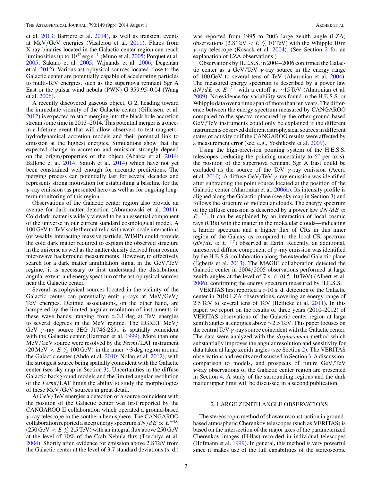<span id="page-2-0"></span>et al. [2013;](#page-9-0) Barriere et al. [2014\)](#page-9-0), as well as transient events at MeV*/*GeV energies (Vasileiou et al. [2011\)](#page-9-0). Flares from X-ray binaries located in the Galactic center region can reach luminosities up to  $10^{37}$  erg s<sup>-1</sup> (Muno et al. [2005;](#page-9-0) Porquet et al. [2005;](#page-9-0) Sakano et al. [2005;](#page-9-0) Wijnands et al. [2006;](#page-9-0) Degenaar et al. [2012\)](#page-9-0). Various astrophysical sources located close to the Galactic center are potentially capable of accelerating particles to multi-TeV energies, such as the supernova remnant Sgr A East or the pulsar wind nebula (PWN) G 359.95–0.04 (Wang et al. [2006\)](#page-9-0).

A recently discovered gaseous object, G 2, heading toward the immediate vicinity of the Galactic center (Gillessen, et al. [2012\)](#page-9-0) is expected to start merging into the black hole accretion stream some time in 2013–2014. This potential merger is a oncein-a-lifetime event that will allow observers to test magnetohydrodynamical accretion models and their potential link to emission at the highest energies. Simulations show that the expected change in accretion and emission strongly depend on the origin*/*properties of the object (Abarca et al. [2014;](#page-9-0) Ballone et al. [2014;](#page-9-0) Saitoh et al. [2014\)](#page-9-0) which have not yet been constrained well enough for accurate predictions. The merging process can potentially last for several decades and represents strong motivation for establishing a baseline for the *γ* -ray emission (as presented here) as well as for ongoing longterm monitoring of this region.

Observations of the Galactic center region also provide an avenue for dark-matter detection (Abramowski et al. [2011\)](#page-9-0). Cold dark matter is widely viewed to be an essential component of the universe in our current standard cosmological model. A 100 GeV to TeV scale thermal relic with weak-scale interactions (or weakly interacting massive particle, WIMP) could provide the cold dark matter required to explain the observed structure in the universe as well as the matter density derived from cosmic microwave background measurements. However, to effectively search for a dark matter annihilation signal in the GeV*/*TeV regime, it is necessary to first understand the distribution, angular extent, and energy spectrum of the astrophysical sources near the Galactic center.

Several astrophysical sources located in the vicinity of the Galactic center can potentially emit *γ* -rays at MeV*/*GeV*/* TeV energies. Definite associations, on the other hand, are hampered by the limited angular resolution of instruments in these wave bands, ranging from  $\approx 0.1$  deg at TeV energies to several degrees in the MeV regime. The EGRET MeV*/* GeV *γ* -ray source 3EG J1746-2851 is spatially coincident with the Galactic center (Hartman et al. [1999\)](#page-9-0). More than one MeV*/*GeV source were resolved by the *Fermi/*LAT instrument  $(20 \text{ MeV} < E \leq 100 \text{ GeV})$  in the inner ∼3 deg region around the Galactic center (Abdo et al. [2010;](#page-9-0) Nolan et al. [2012\)](#page-9-0), with the strongest source being spatially coincident with the Galactic center (see sky map in Section [3\)](#page-4-0). Uncertainties in the diffuse Galactic background models and the limited angular resolution of the *Fermi/*LAT limits the ability to study the morphologies of these MeV*/*GeV sources in great detail.

At GeV*/*TeV energies a detection of a source coincident with the position of the Galactic center was first reported by the CANGAROO II collaboration which operated a ground-based *γ* -ray telescope in the southern hemisphere. The CANGAROO collaboration reported a steep energy spectrum  $dN/dE \propto E^{-4.6}$  $(250 \,\text{GeV} < E \lesssim 2.5 \,\text{TeV})$  with an integral flux above  $250 \,\text{GeV}$ at the level of 10% of the Crab Nebula flux (Tsuchiya et al. [2004\)](#page-9-0). Shortly after, evidence for emission above 2*.*8 TeV from the Galactic center at the level of 3*.*7 standard deviations (s. d.)

was reported from 1995 to 2003 large zenith angle (LZA) observations (2.8 TeV  $\lt E \lesssim 10$  TeV) with the Whipple 10 m *γ* -ray telescope (Kosack et al. [2004\)](#page-9-0). (See Section 2 for an explanation of LZA observations.)

Observations by H.E.S.S. in 2004–2006 confirmed the Galactic center as a GeV*/*TeV *γ* -ray source in the energy range of 100 GeV to several tens of TeV (Aharonian et al. [2004\)](#page-9-0). The measured energy spectrum is described by a power law  $dN/dE \propto E^{-2.1}$  with a cutoff at ~15 TeV (Aharonian et al. [2009\)](#page-9-0). No evidence for variability was found in the H.E.S.S. or Whipple data over a time span of more than ten years. The difference between the energy spectrum measured by CANGAROO compared to the spectra measured by the other ground-based GeV*/*TeV instruments could only be explained if the different instruments observed different astrophysical sources in different states of activity or if the CANGAROO results were affected by a measurement error (see, e.g., Yoshikoshi et al. [2009\)](#page-9-0).

Using the high-precision pointing system of the H.E.S.S. telescopes (reducing the pointing uncertainty to  $6''$  per axis), the position of the supernova remnant Sgr A East could be excluded as the source of the TeV *γ* -ray emission (Acero et al. [2010\)](#page-9-0). A diffuse GeV*/*TeV *γ* -ray emission was identified after subtracting the point source located at the position of the Galactic center (Aharonian et al. [2006a\)](#page-9-0). Its intensity profile is aligned along the Galactic plane (see sky map in Section [3\)](#page-4-0) and follows the structure of molecular clouds. The energy spectrum of the diffuse emission is described by a power law  $dN/dE \propto$ *E*<sup>−2*.*3</sup>. It can be explained by an interaction of local cosmic rays (CRs) with the matter in the molecular clouds—indicating a harder spectrum and a higher flux of CRs in this inner region of the Galaxy as compared to the local CR spectrum  $(dN/dE \propto E^{-2.7})$  observed at Earth. Recently, an additional, unresolved diffuse component of *γ* -ray emission was identified by the H.E.S.S. collaboration along the extended Galactic plane (Egberts et al. [2013\)](#page-9-0). The MAGIC collaboration detected the Galactic center in 2004*/*2005 observations performed at large zenith angles at the level of 7 s. d. (0*.*5–10 TeV) (Albert et al. [2006\)](#page-9-0), confirming the energy spectrum measured by H.E.S.S.

VERITAS first reported a *>*10 s. d. detection of the Galactic center in 2010 LZA observations, covering an energy range of 2*.*5 TeV to several tens of TeV (Beilicke et al. [2011\)](#page-9-0). In this paper, we report on the results of three years (2010–2012) of VERITAS observations of the Galactic center region at large zenith angles at energies above ∼2*.*5 TeV. This paper focuses on the central TeV  $\gamma$ -ray source coincident with the Galactic center. The data were analyzed with the *displacement* method which substantially improves the angular resolution and sensitivity for data taken at large zenith angles (see Section 2). The VERITAS observations and results are discussed in Section [3.](#page-4-0) A discussion, comparison to models, and prospects of future GeV*/*TeV *γ* -ray observations of the Galactic center region are presented in Section [4.](#page-5-0) A study of the surrounding regions and the dark matter upper limit will be discussed in a second publication.

## 2. LARGE ZENITH ANGLE OBSERVATIONS

The stereoscopic method of shower reconstruction in groundbased atmospheric Cherenkov telescopes (such as VERITAS) is based on the intersection of the major axes of the parameterized Cherenkov images (Hillas) recorded in individual telescopes (Hofmann et al. [1999\)](#page-9-0). In general, this method is very powerful since it makes use of the full capabilities of the stereoscopic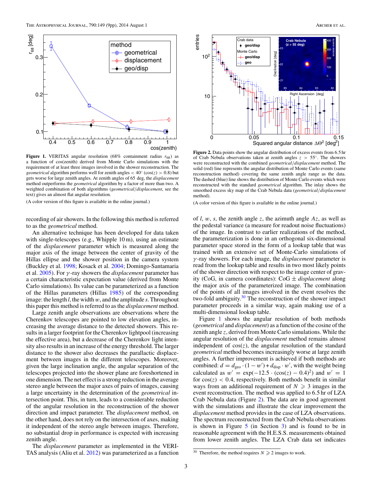

**Figure 1.** VERITAS angular resolution (68% containment radius  $r_{68}$ ) as a function of cos(zenith) derived from Monte Carlo simulations with the requirement of at least three images involved in the shower reconstruction. The *geometrical* algorithm performs well for zenith angles  $<$  40 $\degree$  (cos(*z*) > 0*.*8) but gets worse for large zenith angles. At zenith angles of 65 deg, the *displacement* method outperforms the *geometrical* algorithm by a factor of more than two. A weighted combination of both algorithms (*geometrical/displacement*, see the text) gives an almost flat angular resolution.

(A color version of this figure is available in the online journal.)

recording of air showers. In the following this method is referred to as the *geometrical* method.

An alternative technique has been developed for data taken with single-telescopes (e.g., Whipple 10 m), using an estimate of the *displacement* parameter which is measured along the major axis of the image between the center of gravity of the Hillas ellipse and the shower position in the camera system (Buckley et al. [1998;](#page-9-0) Kosack et al. [2004;](#page-9-0) Domingo-Santamaria et al. [2005\)](#page-9-0). For *γ* -ray showers the *displacement* parameter has a certain characteristic expectation value (derived from Monte Carlo simulations). Its value can be parameterized as a function of the Hillas parameters (Hillas [1985\)](#page-9-0) of the corresponding image: the length *l*, the width *w*, and the amplitude *s*. Throughout this paper this method is referred to as the *displacement* method.

Large zenith angle observations are observations where the Cherenkov telescopes are pointed to low elevation angles, increasing the average distance to the detected showers. This results in a larger footprint for the Cherenkov lightpool (increasing the effective area), but a decrease of the Cherenkov light intensity also results in an increase of the energy threshold. The larger distance to the shower also decreases the parallactic displacement between images in the different telescopes. Moreover, given the large inclination angle, the angular separation of the telescopes projected into the shower plane are foreshortened in one dimension. The net effect is a strong reduction in the average stereo angle between the major axes of pairs of images, causing a large uncertainty in the determination of the *geometrical* intersection point. This, in turn, leads to a considerable reduction of the angular resolution in the reconstruction of the shower direction and impact parameter. The *displacement* method, on the other hand, does not rely on the intersection of axes, making it independent of the stereo angle between images. Therefore, no substantial drop in performance is expected with increasing zenith angle.

The *displacement* parameter as implemented in the VERI-TAS analysis (Aliu et al. [2012\)](#page-9-0) was parameterized as a function



**Figure 2.** Data points show the angular distribution of excess events from 6*.*5 hr of Crab Nebula observations taken at zenith angles *z >* 55◦. The showers were reconstructed with the combined *geometrical/displacement* method. The solid (red) line represents the angular distribution of Monte Carlo events (same reconstruction method) covering the same zenith angle range as the data. The dashed (blue) line shows the distribution of Monte Carlo events which were reconstructed with the standard *geometrical* algorithm. The inlay shows the smoothed excess sky map of the Crab Nebula data (*geometrical/displacement* method).

(A color version of this figure is available in the online journal.)

of *l*, *w*, *s*, the zenith angle *z*, the azimuth angle *Az*, as well as the pedestal variance (a measure for readout noise fluctuations) of the image. In contrast to earlier realizations of the method, the parameterization is done in an orthogonal six-dimensional parameter space stored in the form of a lookup table that was trained with an extensive set of Monte-Carlo simulations of *γ* -ray showers. For each image, the *displacement* parameter is read from the lookup table and results in two most likely points of the shower direction with respect to the image center of gravity (CoG, in camera coordinates): CoG ± *displacement* along the major axis of the parameterized image. The combination of the points of all images involved in the event resolves the two-fold ambiguity.<sup>30</sup> The reconstruction of the shower impact parameter proceeds in a similar way, again making use of a multi-dimensional lookup table.

Figure 1 shows the angular resolution of both methods (*geometrical* and *displacement*) as a function of the cosine of the zenith angle *z*, derived from Monte Carlo simulations. While the angular resolution of the *displacement* method remains almost independent of  $cos(z)$ , the angular resolution of the standard *geometrical* method becomes increasingly worse at large zenith angles. A further improvement is achieved if both methods are combined:  $d = d_{\text{geo}} \cdot (1 - w') + d_{\text{disp}} \cdot w'$ , with the weight being calculated as  $w' = \exp(-12.5 \cdot (\cos(z) - 0.4)^2)$  and  $w' = 1$ for  $cos(z)$  < 0.4, respectively. Both methods benefit in similar ways from an additional requirement of  $N \geq 3$  images in the event reconstruction. The method was applied to 6*.*5 hr of LZA Crab Nebula data (Figure 2). The data are in good agreement with the simulations and illustrate the clear improvement the *displacement* method provides in the case of LZA observations. The spectrum reconstructed from the Crab Nebula observations is shown in Figure [5](#page-5-0) (in Section [3\)](#page-4-0) and is found to be in reasonable agreement with the H.E.S.S. measurements obtained from lower zenith angles. The LZA Crab data set indicates

<sup>&</sup>lt;sup>30</sup> Therefore, the method requires  $N \ge 2$  images to work.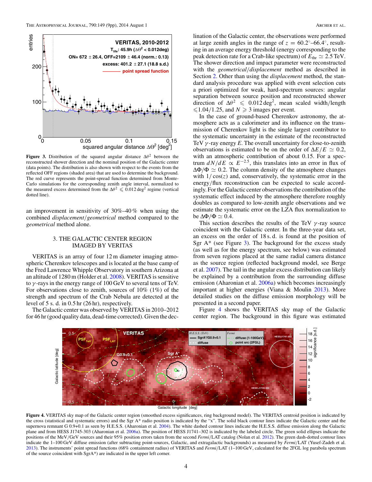<span id="page-4-0"></span>

**Figure 3.** Distribution of the squared angular distance  $\Delta\theta^2$  between the reconstructed shower direction and the nominal position of the Galactic center (data points). The distribution is also shown with respect to the events from the reflected OFF regions (shaded area) that are used to determine the background. The red curve represents the point-spread function determined from Monte-Carlo simulations for the corresponding zenith angle interval, normalized to the measured excess determined from the  $\Delta\theta^2 \leq 0.012 \text{ deg}^2$  regime (vertical dotted line).

an improvement in sensitivity of 30%–40 % when using the combined *displacement/geometrical* method compared to the *geometrical* method alone.

#### 3. THE GALACTIC CENTER REGION IMAGED BY VERITAS

VERITAS is an array of four 12 m diameter imaging atmospheric Cherenkov telescopes and is located at the base camp of the Fred Lawrence Whipple Observatory in southern Arizona at an altitude of 1280 m (Holder et al. [2008\)](#page-9-0). VERITAS is sensitive to *γ* -rays in the energy range of 100 GeV to several tens of TeV. For observations close to zenith, sources of 10% (1%) of the strength and spectrum of the Crab Nebula are detected at the level of 5 s. d. in 0*.*5 hr (26 hr), respectively.

The Galactic center was observed by VERITAS in 2010–2012 for 46 hr (good quality data, dead-time corrected). Given the declination of the Galactic center, the observations were performed at large zenith angles in the range of  $z = 60.2°-66.4°$ , resulting in an average energy threshold (energy corresponding to the peak detection rate for a Crab-like spectrum) of  $E_{thr} \simeq 2.5 \text{ TeV}$ . The shower direction and impact parameter were reconstructed with the *geometrical/displacement* method as described in Section [2.](#page-2-0) Other than using the *displacement* method, the standard analysis procedure was applied with event selection cuts a priori optimized for weak, hard-spectrum sources: angular separation between source position and reconstructed shower direction of  $\Delta\theta^2 \leq 0.012 \text{ deg}^2$ , mean scaled width/length  $\leq 1.04/1.25$ , and  $N \geq 3$  images per event.

In the case of ground-based Cherenkov astronomy, the atmosphere acts as a calorimeter and its influence on the transmission of Cherenkov light is the single largest contributor to the systematic uncertainty in the estimate of the reconstructed TeV *γ* -ray energy *E*. The overall uncertainty for close-to-zenith observations is estimated to be on the order of  $\Delta E/E \simeq 0.2$ , with an atmospheric contribution of about 0*.*15. For a spectrum  $dN/dE \propto E^{-2.5}$ , this translates into an error in flux of  $\Delta\Phi/\Phi \simeq 0.2$ . The column density of the atmosphere changes with  $1/\cos(z)$  and, conservatively, the systematic error in the energy/flux reconstruction can be expected to scale accordingly. For the Galactic center observations the contribution of the systematic effect induced by the atmosphere therefore roughly doubles as compared to low-zenith angle observations and we estimate the systematic error on the LZA flux normalization to be  $\Delta \Phi / \Phi \simeq 0.4$ .

This section describes the results of the TeV *γ* -ray source coincident with the Galactic center. In the three-year data set, an excess on the order of 18 s*.* d*.* is found at the position of Sgr  $A^*$  (see Figure 3). The background for the excess study (as well as for the energy spectrum, see below) was estimated from seven regions placed at the same radial camera distance as the source region (reflected background model, see Berge et al. [2007\)](#page-9-0). The tail in the angular excess distribution can likely be explained by a contribution from the surrounding diffuse emission (Aharonian et al. [2006a\)](#page-9-0) which becomes increasingly important at higher energies (Viana & Moulin [2013\)](#page-9-0). More detailed studies on the diffuse emission morphology will be presented in a second paper.

Figure 4 shows the VERITAS sky map of the Galactic center region. The background in this figure was estimated



Galactic longitude [deg]

**Figure 4.** VERITAS sky map of the Galactic center region (smoothed excess significances, ring background model). The VERITAS centroid position is indicated by the cross (statistical and systematic errors) and the Sgr A\* radio position is indicated by the "x". The solid black contour lines indicate the Galactic center and the supernova remnant G 0.9+0.1 as seen by H.E.S.S. (Aharonian et al. [2004\)](#page-9-0). The white dashed contour lines indicate the H.E.S.S. diffuse emission along the Galactic plane and from HESS J1745-303 (Aharonian et al. [2006a\)](#page-9-0). The position of HESS J1741-302 is indicated by the labeled circle. The green solid ellipses indicate the positions of the MeV*/*GeV sources and their 95% position errors taken from the second *Fermi/*LAT catalog (Nolan et al. [2012\)](#page-9-0). The green dash-dotted contour lines indicate the 1–100 GeV diffuse emission (after subtracting point-sources, Galactic, and extragalactic backgrounds) as measured by *Fermi/*LAT (Yusef-Zadeh et al. [2013\)](#page-9-0). The instruments' point spread functions (68% containment radius) of VERITAS and *Fermi/*LAT (1–100 GeV, calculated for the 2FGL log parabola spectrum of the source coincident with SgrA\*) are indicated in the upper left corner.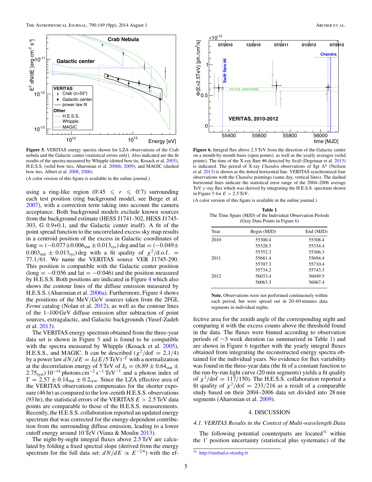<span id="page-5-0"></span>

**Figure 5.** VERITAS energy spectra shown for LZA observations of the Crab nebula and the Galactic center (statistical errors only). Also indicated are the fit results of the spectra measured by Whipple (dotted bow tie, Kosack et al. [2005\)](#page-9-0), H.E.S.S. (solid bow ties, Aharonian et al. [2006b,](#page-9-0) [2009\)](#page-9-0), and MAGIC (dashed bow ties, Albert et al. [2008,](#page-9-0) [2006\)](#page-9-0).

(A color version of this figure is available in the online journal.)

using a ring-like region  $(0.45 \le r \le 0.7)$  surrounding each test position (ring background model, see Berge et al. [2007\)](#page-9-0), with a correction term taking into account the camera acceptance. Both background models exclude known sources from the background estimate (HESS J1741-302, HESS J1745- 303, G 0.9+0.1, and the Galactic center itself). A fit of the point spread function to the uncorrelated excess sky map results in a centroid position of the excess in Galactic coordinates of  $\log = (-0.077 \pm 0.006_{\text{stat}} \pm 0.013_{\text{sys}})$  deg and lat  $= (-0.049 \pm 0.013_{\text{sys}})$  $0.003<sub>stat</sub> \pm 0.013<sub>sys</sub>$ ) deg with a fit quality of  $\chi^2/\text{d.o.f.}$  = 77*.*1*/*61. We name the VERITAS source VER J1745-290. This position is compatible with the Galactic center position  $(\text{long} = -0.056 \text{ and } \text{lat} = -0.046)$  and the position measured by H.E.S.S. Both positions are indicated in Figure [4](#page-4-0) which also shows the contour lines of the diffuse emission measured by H.E.S.S. (Aharonian et al. [2006a\)](#page-9-0). Furthermore, Figure [4](#page-4-0) shows the positions of the MeV*/*GeV sources taken from the 2FGL *Fermi* catalog (Nolan et al. [2012\)](#page-9-0), as well as the contour lines of the 1–100 GeV diffuse emission after subtraction of point sources, extragalactic, and Galactic backgrounds (Yusef-Zadeh et al. [2013\)](#page-9-0).

The VERITAS energy spectrum obtained from the three-year data set is shown in Figure 5 and is found to be compatible with the spectra measured by Whipple (Kosack et al. [2005\)](#page-9-0), H.E.S.S., and MAGIC. It can be described  $(\chi^2/\text{dof} = 2.1/4)$ by a power law  $dN/dE = I_0 (E/5 \text{ TeV})^{-\Gamma}$  with a normalization at the decorrelation energy of 5 TeV of  $I_0 = (6.89 \pm 0.64<sub>stat</sub> \pm 0.75<sub>stat</sub> \pm 0.75<sub>stat</sub> \pm 0.75<sub>stat</sub> \pm 0.75<sub>stat</sub> \pm 0.75<sub>stat</sub> \pm 0.75<sub>stat</sub> \pm 0.75<sub>stat</sub> \pm 0.75<sub>stat</sub> \pm 0.75<sub>stat</sub> \pm 0.75<sub>stat</sub> \pm 0.75<sub>stat</sub> \pm$  $2.75<sub>syst</sub>$ ) 10<sup>-14</sup> photons cm<sup>-2</sup> s<sup>-1</sup> TeV<sup>-1</sup> and a photon index of  $\Gamma = 2.57 \pm 0.14_{stat} \pm 0.2_{syst}$ . Since the LZA effective area of the VERITAS observations compensates for the shorter exposure (46 hr) as compared to the low-zenith H.E.S.S. observations (93 hr), the statistical errors of the VERITAS *E >* 2*.*5 TeV data points are comparable to those of the H.E.S.S. measurements. Recently, the H.E.S.S. collaboration reported an updated energy spectrum that was corrected for the energy-dependent contribution from the surrounding diffuse emission, leading to a lower cutoff energy around 10 TeV (Viana & Moulin [2013\)](#page-9-0).

The night-by-night integral fluxes above 2*.*5 TeV are calculated by folding a fixed spectral slope (derived from the energy spectrum for the full data set:  $dN/dE \propto E^{-2.6}$ ) with the ef-



**Figure 6.** Integral flux above 2*.*5 TeV from the direction of the Galactic center on a month-by-month basis (open points), as well as the yearly averages (solid points). The time of the X-ray flare #6 detected by *Swift* (Degenaar et al. [2013\)](#page-9-0) is indicated. The period of X-ray *Chandra* observations of Sgr A\* (Neilsen et al. [2013\)](#page-9-0) is shown as the dotted horizontal line. VERITAS synchronized four observations with the *Chandra* pointings (same day, vertical lines). The dashed horizontal lines indicate the statistical error range of the 2004–2006 average TeV *γ* -ray flux which was derived by integrating the H.E.S.S. spectrum shown in Figure 5 for  $E > 2.5$  TeV.

|  |  |  |  | (A color version of this figure is available in the online journal.) |  |  |  |
|--|--|--|--|----------------------------------------------------------------------|--|--|--|
|--|--|--|--|----------------------------------------------------------------------|--|--|--|

**Table 1** The Time Spans (MJD) of the Individual Observation Periods (Gray Data Points in Figure 6)

| Year | Begin (MJD) | End (MJD) |  |
|------|-------------|-----------|--|
| 2010 | 55300.4     | 55308.4   |  |
|      | 55328.3     | 55334.4   |  |
|      | 55352.3     | 55366.3   |  |
| 2011 | 55681.4     | 55694.4   |  |
|      | 55707.3     | 55710.4   |  |
|      | 55734.2     | 55743.3   |  |
| 2012 | 56033.4     | 56049.5   |  |
|      | 56063.3     | 56067.4   |  |
|      |             |           |  |

**Note.** Observations were not performed continuously within each period, but were spread out in 20–60 minutes data segments in individual nights.

fective area for the zenith angle of the corresponding night and comparing it with the excess counts above the threshold found in the data. The fluxes were binned according to observation periods of ∼3 week duration (as summarized in Table 1) and are shown in Figure 6 together with the yearly integral fluxes obtained from integrating the reconstructed energy spectra obtained for the individual years. No evidence for flux variability was found in the three-year data (the fit of a constant function to the run-by-run light curve (20 min segments) yields a fit quality of  $\chi^2$ /dof = 117/150). The H.E.S.S. collaboration reported a fit quality of  $\chi^2$ /dof = 233/216 as a result of a comparable study based on their 2004–2006 data set divided into 28 min segments (Aharonian et al. [2009\)](#page-9-0).

### 4. DISCUSSION

# *4.1. VERITAS Results in the Context of Multi-wavelength Data*

The following potential counterparts are located  $31$  within the  $1'$  position uncertainty (statistical plus systematic) of the

 $\overline{31}$  <http://simbad.u-strasbg.fr>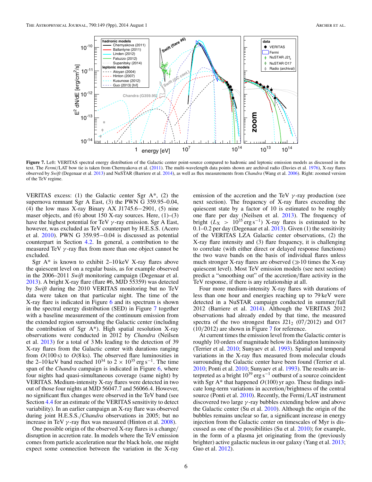<span id="page-6-0"></span>

Figure 7. Left: VERITAS spectral energy distribution of the Galactic center point-source compared to hadronic and leptonic emission models as discussed in the text. The *Fermi/*LAT bow tie is taken from Chernyakova et al. [\(2011\)](#page-9-0). The multi-wavelength data points shown are archival radio (Davies et al. [1976\)](#page-9-0), X-ray flares observed by *Swift* (Degenaar et al. [2013\)](#page-9-0) and NuSTAR (Barriere et al. [2014\)](#page-9-0), as well as flux measurements from *Chandra* (Wang et al. [2006\)](#page-9-0). Right: zoomed version of the TeV regime.

VERITAS excess: (1) the Galactic center Sgr  $A^*$ , (2) the supernova remnant Sgr A East, (3) the PWN G 359.95–0.04, (4) the low mass X-ray Binary AX J1745.6−2901, (5) nine maser objects, and  $(6)$  about 150 X-ray sources. Here,  $(1)$ – $(3)$ have the highest potential for TeV *γ* -ray emission. Sgr A East, however, was excluded as TeV counterpart by H.E.S.S. (Acero et al. [2010\)](#page-9-0). PWN G 359.95−0.04 is discussed as potential counterpart in Section [4.2.](#page-7-0) In general, a contribution to the measured TeV *γ* -ray flux from more than one object cannot be excluded.

Sgr  $A^*$  is known to exhibit 2–10 keV X-ray flares above the quiescent level on a regular basis, as for example observed in the 2006–2011 *Swift* monitoring campaign (Degenaar et al. [2013\)](#page-9-0). A bright X-ray flare (flare #6, MJD 55359) was detected by *Swift* during the 2010 VERITAS monitoring but no TeV data were taken on that particular night. The time of the X-ray flare is indicated in Figure [6](#page-5-0) and its spectrum is shown in the spectral energy distribution (SED) in Figure 7 together with a baseline measurement of the continuum emission from the extended region surrounding the Galactic center (including the contribution of Sgr  $A^*$ ). High spatial resolution X-ray observations were conducted in 2012 by *Chandra* (Neilsen et al. [2013\)](#page-9-0) for a total of 3 Ms leading to the detection of 39 X-ray flares from the Galactic center with durations ranging from  $O(100 s)$  to  $O(8 ks)$ . The observed flare luminosities in the 2–10 keV band reached  $10^{34}$  to 2 ×  $10^{35}$  erg s<sup>-1</sup>. The time span of the *Chandra* campaign is indicated in Figure [6,](#page-5-0) where four nights had quasi-simultaneous coverage (same night) by VERITAS. Medium-intensity X-ray flares were detected in two out of those four nights at MJD 56047.7 and 56066.4. However, no significant flux changes were observed in the TeV band (see Section [4.4](#page-8-0) for an estimate of the VERITAS sensitivity to detect variability). In an earlier campaign an X-ray flare was observed during joint H.E.S.S.*/Chandra* observations in 2005; but no increase in TeV *γ* -ray flux was measured (Hinton et al. [2008\)](#page-9-0).

One possible origin of the observed X-ray flares is a change*/* disruption in accretion rate. In models where the TeV emission comes from particle acceleration near the black hole, one might expect some connection between the variation in the X-ray

emission of the accretion and the TeV *γ* -ray production (see next section). The frequency of X-ray flares exceeding the quiescent state by a factor of 10 is estimated to be roughly one flare per day (Neilsen et al. [2013\)](#page-9-0). The frequency of bright ( $L_X$  > 10<sup>35</sup> erg s<sup>-1</sup>) X-ray flares is estimated to be 0*.*1–0*.*2 per day (Degenaar et al. [2013\)](#page-9-0). Given (1) the sensitivity of the VERITAS LZA Galactic center observations, (2) the X-ray flare intensity and (3) flare frequency, it is challenging to correlate (with either direct or delayed response functions) the two wave bands on the basis of individual flares unless much stronger X-ray flares are observed  $(\gg 10)$  times the X-ray quiescent level). Most TeV emission models (see next section) predict a "smoothing out" of the accretion*/*flare activity in the TeV response, if there is any relationship at all.

Four more medium-intensity X-ray flares with durations of less than one hour and energies reaching up to 79 keV were detected in a NuSTAR campaign conducted in summer*/*fall 2012 (Barriere et al. [2014\)](#page-9-0). Although the VERITAS 2012 observations had already ended by that time, the measured spectra of the two strongest flares  $J21_2$  (07/2012) and O17 (10*/*2012) are shown in Figure 7 for reference.

At current times the emission level from the Galactic center is roughly 10 orders of magnitude below its Eddington luminosity (Terrier et al. [2010;](#page-9-0) Sunyaev et al. [1993\)](#page-9-0). Spatial and temporal variations in the X-ray flux measured from molecular clouds surrounding the Galactic center have been found (Terrier et al. [2010;](#page-9-0) Ponti et al. [2010;](#page-9-0) Sunyaev et al. [1993\)](#page-9-0). The results are interpreted as a bright  $10^{39}$  erg s<sup>-1</sup> outburst of a source coincident with Sgr A\* that happened *O*(100) yr ago. These findings indicate long-term variations in accretion*/*brightness of the central source (Ponti et al. [2010\)](#page-9-0). Recently, the Fermi*/*LAT instrument discovered two large *γ* -ray bubbles extending below and above the Galactic center (Su et al. [2010\)](#page-9-0). Although the origin of the bubbles remains unclear so far, a significant increase in energy injection from the Galactic center on timescales of Myr is discussed as one of the possibilities (Su et al. [2010\)](#page-9-0); for example, in the form of a plasma jet originating from the (previously brighter) active galactic nucleus in our galaxy (Yang et al. [2013;](#page-9-0) Guo et al. [2012\)](#page-9-0).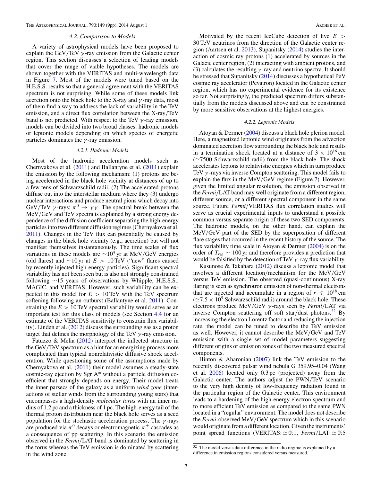<span id="page-7-0"></span>The Astrophysical Journal, 790:149 (9pp), 2014 August 1 Archer et al. Archer et al.

#### *4.2. Comparison to Models*

A variety of astrophysical models have been proposed to explain the GeV*/*TeV *γ* -ray emission from the Galactic center region. This section discusses a selection of leading models that cover the range of viable hypotheses. The models are shown together with the VERITAS and multi-wavelength data in Figure [7.](#page-6-0) Most of the models were tuned based on the H.E.S.S. results so that a general agreement with the VERITAS spectrum is not surprising. While some of these models link accretion onto the black hole to the X-ray and *γ* -ray data, most of them find a way to address the lack of variability in the TeV emission, and a direct flux correlation between the X-ray*/*TeV band is not predicted. With respect to the TeV *γ* -ray emission, models can be divided into two broad classes: hadronic models or leptonic models depending on which species of energetic particles dominates the *γ* -ray emission.

#### *4.2.1. Hadronic Models*

Most of the hadronic acceleration models such as Chernyakova et al. [\(2011\)](#page-9-0) and Ballantyne et al. [\(2011\)](#page-9-0) explain the emission by the following mechanism: (1) protons are being accelerated in the black hole vicinity at distances of up to a few tens of Schwarzschild radii. (2) The accelerated protons diffuse out into the interstellar medium where they (3) undergo nuclear interactions and produce neutral pions which decay into GeV/TeV  $\gamma$ -rays:  $\pi^0 \rightarrow \gamma \gamma$ . The spectral break between the MeV*/*GeV and TeV spectra is explained by a strong energy dependence of the diffusion coefficient separating the high-energy particles into two different diffusion regimes (Chernyakova et al. [2011\)](#page-9-0). Changes in the TeV flux can potentially be caused by changes in the black hole vicinity (e.g., accretion) but will not manifest themselves instantaneously. The time scales of flux variations in these models are <sup>∼</sup>104 yr at MeV*/*GeV energies (old flares) and ∼10 yr at *E >* 10 TeV ("new" flares caused by recently injected high-energy particles). Significant spectral variability has not been seen but is also not strongly constrained following ∼15 years of observations by Whipple, H.E.S.S., MAGIC, and VERITAS. However, such variability can be expected in this model for *E >* 10 TeV with the TeV spectrum softening following an outburst (Ballantyne et al. [2011\)](#page-9-0). Constraining the  $E > 10$  TeV spectral variability would serve as an important test for this class of models (see Section [4.4](#page-8-0) for an estimate of the VERITAS sensitivity to constrain flux variability). Linden et al. [\(2012\)](#page-9-0) discuss the surrounding gas as a proton target that defines the morphology of the TeV *γ* -ray emission.

Fatuzzo & Melia [\(2012\)](#page-9-0) interpret the inflected structure in the GeV*/*TeV spectrum as a hint for an energizing process more complicated than typical nonrelativistic diffusive shock acceleration. While questioning some of the assumptions made by Chernyakova et al. [\(2011\)](#page-9-0) their model assumes a steady-state cosmic-ray ejection by Sgr A\* without a particle diffusion coefficient that strongly depends on energy. Their model treats the inner parsecs of the galaxy as a uniform *wind zone* (interactions of stellar winds from the surrounding young stars) that encompasses a high-density *molecular torus* with an inner radius of 1*.*2 pc and a thickness of 1 pc. The high-energy tail of the thermal proton distribution near the black hole serves as a seed population for the stochastic acceleration process. The *γ* -rays are produced via  $\pi^0$  decays or electromagnetic  $\pi^{\pm}$  cascades as a consequence of pp scattering. In this scenario the emission observed in the *Fermi/*LAT band is dominated by scattering in the torus whereas the TeV emission is dominated by scattering in the wind zone.

Motivated by the recent IceCube detection of five *E >* 30 TeV neutrinos from the direction of the Galactic center region (Aartsen et al. [2013\)](#page-9-0), Supanitsky [\(2014\)](#page-9-0) studies the interaction of cosmic ray protons (1) accelerated by sources in the Galacic center region, (2) interacting with ambient protons, and (3) calculates the resulting *γ* -ray and neutrino spectra. It should be stressed that Supanitsky [\(2014\)](#page-9-0) discusses a hypothetical PeV cosmic ray accelerator (Pevatron) located in the Galactic center region, which has no experimental evidence for its existence so far. Not surprisingly, the predicted spectrum differs substantially from the models discussed above and can be constrained by more sensitive observations at the highest energies.

#### *4.2.2. Leptonic Models*

Atoyan & Dermer [\(2004\)](#page-9-0) discuss a black hole plerion model. Here, a magnetized leptonic wind originates from the advection dominated accretion flow surrounding the black hole and results in a termination shock located at a distance of  $3 \times 10^{16}$  cm  $(\simeq 7500$  Schwarzschild radii) from the black hole. The shock accelerates leptons to relativistic energies which in turn produce TeV *γ* -rays via inverse Compton scattering. This model fails to explain the flux in the MeV*/*GeV regime (Figure [7\)](#page-6-0). However, given the limited angular resolution, the emission observed in the *Fermi/*LAT band may well originate from a different region, different source, or a different spectral component in the same source. Future *Fermi/*VERITAS flux correlation studies will serve as crucial experimental inputs to understand a possible common versus separate origin of these two SED components. The hadronic models, on the other hand, can explain the MeV*/*GeV part of the SED by the superposition of different flare stages that occurred in the recent history of the source. The flux variability time scale in Atoyan & Dermer  $(2004)$  is on the order of *T*var ∼ 100 yr and therefore provides a prediction that would be falsified by the detection of TeV *γ* -ray flux variability.

Kusunose & Takahara [\(2012\)](#page-9-0) discuss a leptonic model that involves a different location*/*mechanism for the MeV*/*GeV versus TeV emission. The observed (quasi-continuous) X-ray flaring is seen as synchrotron emission of non-thermal electrons that are injected and accumulate in a region of  $r \leq 10^{18}$  cm  $(\simeq 7.5 \times 10^5$  Schwarzschild radii) around the black hole. These electrons produce MeV*/*GeV *γ* -rays seen by *Fermi/*LAT via inverse Compton scattering off soft star*/*dust photons.32 By increasing the electron Lorentz factor and reducing the injection rate, the model can be tuned to describe the TeV emission as well. However, it cannot describe the MeV*/*GeV and TeV emission with a single set of model parameters suggesting different origins or emission zones of the two measured spectral components.

Hinton & Aharonian [\(2007\)](#page-9-0) link the TeV emission to the recently discovered pulsar wind nebula G 359.95–0.04 (Wang et al. [2006\)](#page-9-0) located only 0*.*3 pc (projected) away from the Galactic center. The authors adjust the PWN*/*TeV scenario to the very high density of low-frequency radiation found in the particular region of the Galactic center. This environment leads to a hardening of the high-energy electron spectrum and to more efficient TeV emission as compared to the same PWN located in a "regular" environment. The model does not describe the *Fermi*-observed MeV*/*GeV spectrum which in this scenario would originate from a different location. Given the instruments' point spread functions (VERITAS:  $\simeq 0.1$ , *Fermi*/LAT:  $\simeq 0.5$ 

<sup>32</sup> The model versus data difference in the radio regime is explained by a difference in emission regions considered versus measured.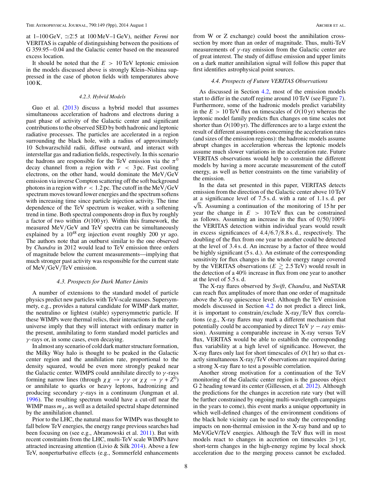<span id="page-8-0"></span>at  $1-100 \text{ GeV}$ ,  $\simeq 2.5$  at  $100 \text{ MeV} - 1 \text{ GeV}$ ), neither *Fermi* nor VERITAS is capable of distinguishing between the positions of G 359.95−0.04 and the Galactic center based on the measured excess location.

It should be noted that the *E >* 10 TeV leptonic emission in the models discussed above is strongly Klein–Nishina suppressed in the case of photon fields with temperatures above 100 K.

#### *4.2.3. Hybrid Models*

Guo et al. [\(2013\)](#page-9-0) discuss a hybrid model that assumes simultaneous acceleration of hadrons and electrons during a past phase of activity of the Galactic center and significant contributions to the observed SED by both hadronic and leptonic radiative processes. The particles are accelerated in a region surrounding the black hole, with a radius of approximately 10 Schwarzschild radii, diffuse outward, and interact with interstellar gas and radiation fields, respectively. In this scenario the hadrons are responsible for the TeV emission via the  $\pi^0$ decay channel from a region with *r <* 3 pc. Fast cooling electrons, on the other hand, would dominate the MeV*/*GeV emission via inverse Compton scattering off the soft background photons in a region with *r <* 1*.*2 pc. The cutoff in the MeV*/*GeV spectrum moves toward lower energies and the spectrum softens with increasing time since particle injection activity. The time dependence of the TeV spectrum is weaker, with a softening trend in time. Both spectral components drop in flux by roughly a factor of two within *O*(100 yr). Within this framework, the measured MeV*/*GeV and TeV spectra can be simultaneously explained by a  $10^{48}$  erg injection event roughly 200 yr ago. The authors note that an outburst similar to the one observed by *Chandra* in 2012 would lead to TeV emission three orders of magnitude below the current measurements—implying that much stronger past activity was responsible for the current state of MeV*/*GeV*/*TeV emission.

# *4.3. Prospects for Dark Matter Limits*

A number of extensions to the standard model of particle physics predict new particles with TeV-scale masses. Supersymmety, e.g., provides a natural candidate for WIMP dark matter, the neutralino or lightest (stable) sypersymmetric particle. If these WIMPs were thermal relics, their interactions in the early universe imply that they will interact with ordinary matter in the present, annihilating to form standard model particles and *γ* -rays or, in some cases, even decaying.

In almost any scenario of cold dark matter structure formation, the Milky Way halo is thought to be peaked in the Galactic center region and the annihilation rate, proportional to the density squared, would be even more strongly peaked near the Galactic center. WIMPS could annihilate directly to *γ* -rays forming narrow lines (through  $\chi \chi \to \gamma \gamma$  or  $\chi \chi \to \gamma + Z^0$ ) or annihilate to quarks or heavy leptons, hadronizing and producing secondary *γ* -rays in a continuum (Jungman et al. [1996\)](#page-9-0). The resulting spectrum would have a cut-off near the WIMP mass  $m<sub>x</sub>$ , as well as a detailed spectral shape determined by the annihilation channel.

Prior to the LHC, the natural mass for WIMPs was thought to fall below TeV energies, the energy range previous searches had been focusing on (see e.g., Abramowski et al. [2011\)](#page-9-0). But with recent constraints from the LHC, multi-TeV scale WIMPs have attracted increasing attention (Livio & Silk  $2014$ ). Above a few TeV, nonperturbative effects (e.g., Sommerfeld enhancements from W or Z exchange) could boost the annihilation crosssection by more than an order of magnitude. Thus, multi-TeV measurements of *γ* -ray emission from the Galactic center are of great interest. The study of diffuse emission and upper limits on a dark matter annihilation signal will follow this paper that first identifies astrophysical point sources.

#### *4.4. Prospects of Future VERITAS Observations*

As discussed in Section [4.2,](#page-7-0) most of the emission models start to differ in the cutoff regime around 10 TeV (see Figure [7\)](#page-6-0). Furthermore, some of the hadronic models predict variability in the  $E > 10$  TeV flux on timescales of  $O(10 \text{ yr})$  whereas the leptonic model family predicts flux changes on time scales not shorter than *O*(100 yr). The differences are to a large extent the result of different assumptions concerning the acceleration rates (and sizes of the emission regions): the hadronic models assume abrupt changes in acceleration whereas the leptonic models assume much slower variations in the acceleration rate. Future VERITAS observations would help to constrain the different models by having a more accurate measurement of the cutoff energy, as well as better constraints on the time variability of the emission.

In the data set presented in this paper, VERITAS detects emission from the direction of the Galactic center above 10 TeV  $\sqrt{h}$ . Assuming a continuation of the monitoring of 15 hr per at a significance level of 7*.*5 s*.* d*.* with a rate of 1*.*1 s*.* d*.* per year the change in  $E > 10$  TeV flux can be constrained as follows. Assuming an increase in the flux of 0*/*50*/*100% the VERITAS detection within individual years would result in excess significances of 4*.*4*/*6*.*7*/*8*.*8 s*.* d*.*, respectively. The doubling of the flux from one year to another could be detected at the level of 3*.*4 s*.* d. An increase by a factor of three would be highly significant (5 s*.* d*.*). An estimate of the corresponding sensitivity for flux changes in the whole energy range covered by the VERITAS observations ( $E \ge 2.5$  TeV) would result in the detection of a 40% increase in flux from one year to another at the level of 5*.*5 s*.* d*.*

The X-ray flares observed by *Swift*, *Chandra*, and NuSTAR can reach flux amplitudes of more than one order of magnitude above the X-ray quiescence level. Although the TeV emission models discussed in Section [4.2](#page-7-0) do not predict a direct link, it is important to constrain*/*exclude X-ray*/*TeV flux correlations (e.g., X-ray flares may mark a different mechanism that potentially could be accompanied by direct TeV  $\gamma - r a y$  emission). Assuming a comparable increase in X-ray versus TeV flux, VERITAS would be able to establish the corresponding flux variability at a high level of significance. However, the X-ray flares only last for short timescales of *O*(1 hr) so that exactly simultaneous X-ray*/*TeV observations are required during a strong X-ray flare to test a possible correlation.

Another strong motivation for a continuation of the TeV monitoring of the Galactic center region is the gaseous object G 2 heading toward its center (Gillessen, et al. [2012\)](#page-9-0). Although the predictions for the changes in accretion rate vary (but will be further constrained by ongoing multi-wavelength campaigns in the years to come), this event marks a unique opportunity in which well-defined changes of the environment conditions of the black hole vicinity can be used to study the corresponding impacts on non-thermal emission in the X-ray band and up to MeV/GeV/TeV energies. Although the TeV flux will in most models react to changes in accretion on timescales  $\gg$ 1 yr, short-term changes in the high-energy regime by local shock acceleration due to the merging process cannot be excluded.